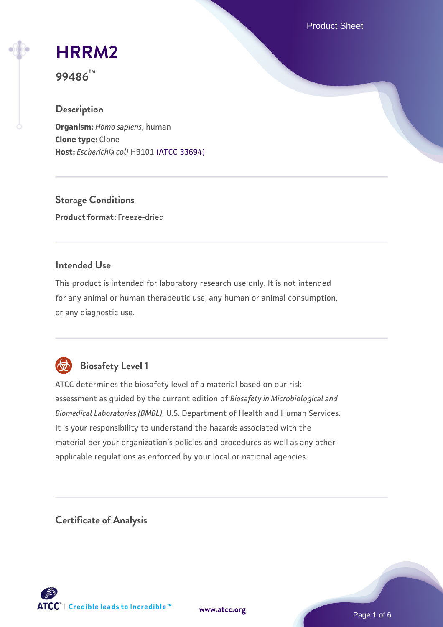Product Sheet

# **[HRRM2](https://www.atcc.org/products/99486)**

**99486™**

## **Description**

**Organism:** *Homo sapiens*, human **Clone type:** Clone **Host:** *Escherichia coli* HB101 [\(ATCC 33694\)](https://www.atcc.org/products/33694)

**Storage Conditions Product format:** Freeze-dried

## **Intended Use**

This product is intended for laboratory research use only. It is not intended for any animal or human therapeutic use, any human or animal consumption, or any diagnostic use.



# **Biosafety Level 1**

ATCC determines the biosafety level of a material based on our risk assessment as guided by the current edition of *Biosafety in Microbiological and Biomedical Laboratories (BMBL)*, U.S. Department of Health and Human Services. It is your responsibility to understand the hazards associated with the material per your organization's policies and procedures as well as any other applicable regulations as enforced by your local or national agencies.

**Certificate of Analysis**

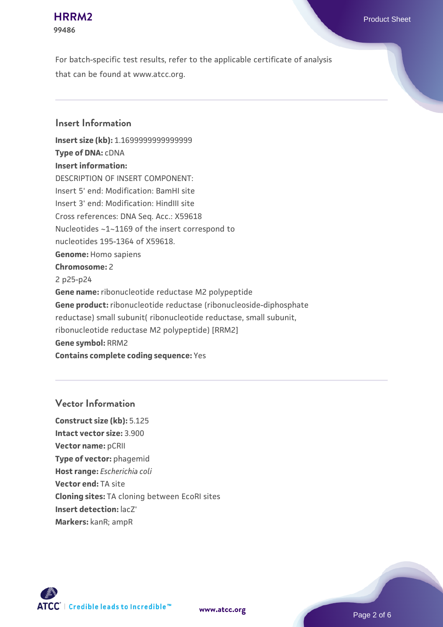### **[HRRM2](https://www.atcc.org/products/99486)** Product Sheet **99486**

For batch-specific test results, refer to the applicable certificate of analysis that can be found at www.atcc.org.

## **Insert Information**

**Insert size (kb):** 1.1699999999999999 **Type of DNA:** cDNA **Insert information:** DESCRIPTION OF INSERT COMPONENT: Insert 5' end: Modification: BamHI site Insert 3' end: Modification: HindIII site Cross references: DNA Seq. Acc.: X59618 Nucleotides ~1~1169 of the insert correspond to nucleotides 195-1364 of X59618. **Genome:** Homo sapiens **Chromosome:** 2 2 p25-p24 **Gene name:** ribonucleotide reductase M2 polypeptide **Gene product:** ribonucleotide reductase (ribonucleoside-diphosphate reductase) small subunit( ribonucleotide reductase, small subunit, ribonucleotide reductase M2 polypeptide) [RRM2] **Gene symbol:** RRM2 **Contains complete coding sequence:** Yes

## **Vector Information**

**Construct size (kb):** 5.125 **Intact vector size:** 3.900 **Vector name:** pCRII **Type of vector:** phagemid **Host range:** *Escherichia coli* **Vector end:** TA site **Cloning sites:** TA cloning between EcoRI sites **Insert detection:** lacZ' **Markers:** kanR; ampR

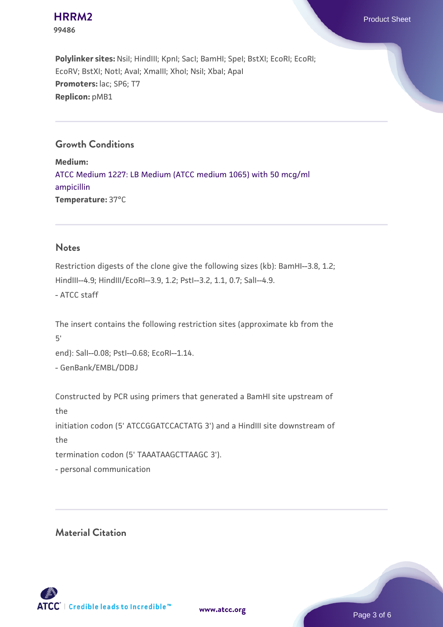**99486**

**[HRRM2](https://www.atcc.org/products/99486)** Product Sheet

Polylinker sites: Nsil; HindIII; KpnI; SacI; BamHI; SpeI; BstXI; EcoRI; EcoRI; EcoRV; BstXI; NotI; AvaI; XmaIII; XhoI; NsiI; XbaI; ApaI **Promoters:** lac; SP6; T7 **Replicon:** pMB1

## **Growth Conditions**

**Medium:**  [ATCC Medium 1227: LB Medium \(ATCC medium 1065\) with 50 mcg/ml](https://www.atcc.org/-/media/product-assets/documents/microbial-media-formulations/1/2/2/7/atcc-medium-1227.pdf?rev=581c98603b3e4b29a6d62ee0ba9ca578) [ampicillin](https://www.atcc.org/-/media/product-assets/documents/microbial-media-formulations/1/2/2/7/atcc-medium-1227.pdf?rev=581c98603b3e4b29a6d62ee0ba9ca578) **Temperature:** 37°C

#### **Notes**

Restriction digests of the clone give the following sizes (kb): BamHI--3.8, 1.2; HindIII--4.9; HindIII/EcoRI--3.9, 1.2; PstI--3.2, 1.1, 0.7; SalI--4.9. - ATCC staff

The insert contains the following restriction sites (approximate kb from the 5'

end): SalI--0.08; PstI--0.68; EcoRI--1.14.

- GenBank/EMBL/DDBJ

Constructed by PCR using primers that generated a BamHI site upstream of the initiation codon (5' ATCCGGATCCACTATG 3') and a HindIII site downstream of the termination codon (5' TAAATAAGCTTAAGC 3').

- personal communication

**Material Citation**

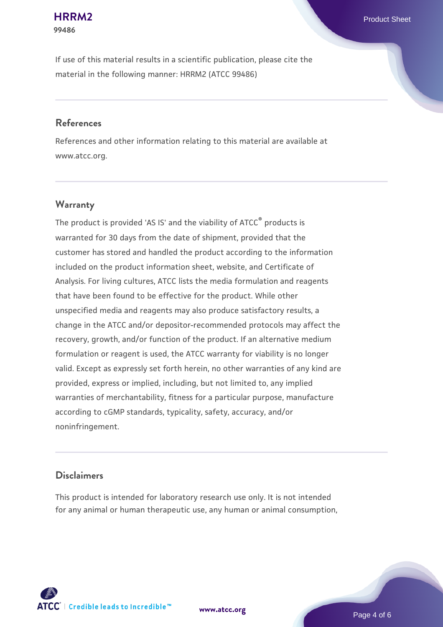# **99486**

If use of this material results in a scientific publication, please cite the material in the following manner: HRRM2 (ATCC 99486)

### **References**

References and other information relating to this material are available at www.atcc.org.

## **Warranty**

The product is provided 'AS IS' and the viability of  $ATCC<sup>®</sup>$  products is warranted for 30 days from the date of shipment, provided that the customer has stored and handled the product according to the information included on the product information sheet, website, and Certificate of Analysis. For living cultures, ATCC lists the media formulation and reagents that have been found to be effective for the product. While other unspecified media and reagents may also produce satisfactory results, a change in the ATCC and/or depositor-recommended protocols may affect the recovery, growth, and/or function of the product. If an alternative medium formulation or reagent is used, the ATCC warranty for viability is no longer valid. Except as expressly set forth herein, no other warranties of any kind are provided, express or implied, including, but not limited to, any implied warranties of merchantability, fitness for a particular purpose, manufacture according to cGMP standards, typicality, safety, accuracy, and/or noninfringement.

### **Disclaimers**

This product is intended for laboratory research use only. It is not intended for any animal or human therapeutic use, any human or animal consumption,

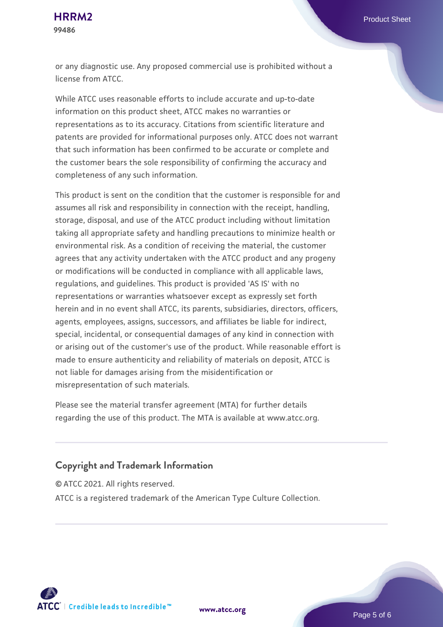**99486**

or any diagnostic use. Any proposed commercial use is prohibited without a license from ATCC.

While ATCC uses reasonable efforts to include accurate and up-to-date information on this product sheet, ATCC makes no warranties or representations as to its accuracy. Citations from scientific literature and patents are provided for informational purposes only. ATCC does not warrant that such information has been confirmed to be accurate or complete and the customer bears the sole responsibility of confirming the accuracy and completeness of any such information.

This product is sent on the condition that the customer is responsible for and assumes all risk and responsibility in connection with the receipt, handling, storage, disposal, and use of the ATCC product including without limitation taking all appropriate safety and handling precautions to minimize health or environmental risk. As a condition of receiving the material, the customer agrees that any activity undertaken with the ATCC product and any progeny or modifications will be conducted in compliance with all applicable laws, regulations, and guidelines. This product is provided 'AS IS' with no representations or warranties whatsoever except as expressly set forth herein and in no event shall ATCC, its parents, subsidiaries, directors, officers, agents, employees, assigns, successors, and affiliates be liable for indirect, special, incidental, or consequential damages of any kind in connection with or arising out of the customer's use of the product. While reasonable effort is made to ensure authenticity and reliability of materials on deposit, ATCC is not liable for damages arising from the misidentification or misrepresentation of such materials.

Please see the material transfer agreement (MTA) for further details regarding the use of this product. The MTA is available at www.atcc.org.

## **Copyright and Trademark Information**

© ATCC 2021. All rights reserved.

ATCC is a registered trademark of the American Type Culture Collection.



**[www.atcc.org](http://www.atcc.org)**

Page 5 of 6